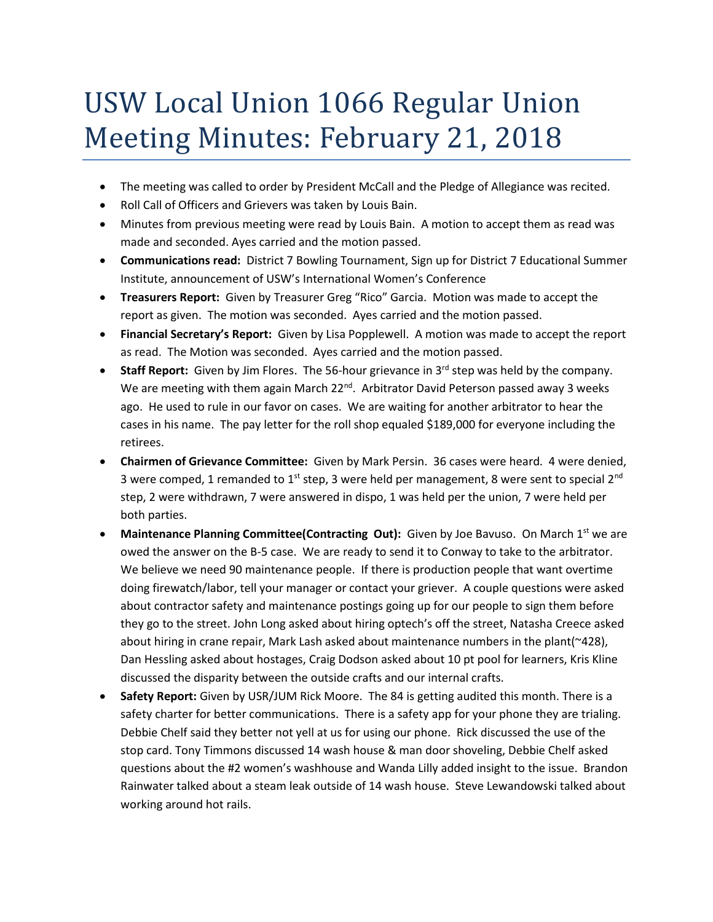## USW Local Union 1066 Regular Union Meeting Minutes: February 21, 2018

- The meeting was called to order by President McCall and the Pledge of Allegiance was recited.
- Roll Call of Officers and Grievers was taken by Louis Bain.
- Minutes from previous meeting were read by Louis Bain. A motion to accept them as read was made and seconded. Ayes carried and the motion passed.
- **Communications read:** District 7 Bowling Tournament, Sign up for District 7 Educational Summer Institute, announcement of USW's International Women's Conference
- **Treasurers Report:** Given by Treasurer Greg "Rico" Garcia. Motion was made to accept the report as given. The motion was seconded. Ayes carried and the motion passed.
- **Financial Secretary's Report:** Given by Lisa Popplewell. A motion was made to accept the report as read. The Motion was seconded. Ayes carried and the motion passed.
- **Staff Report:** Given by Jim Flores. The 56-hour grievance in 3<sup>rd</sup> step was held by the company. We are meeting with them again March 22<sup>nd</sup>. Arbitrator David Peterson passed away 3 weeks ago. He used to rule in our favor on cases. We are waiting for another arbitrator to hear the cases in his name. The pay letter for the roll shop equaled \$189,000 for everyone including the retirees.
- **Chairmen of Grievance Committee:** Given by Mark Persin. 36 cases were heard. 4 were denied, 3 were comped, 1 remanded to  $1^{st}$  step, 3 were held per management, 8 were sent to special  $2^{nd}$ step, 2 were withdrawn, 7 were answered in dispo, 1 was held per the union, 7 were held per both parties.
- Maintenance Planning Committee(Contracting Out): Given by Joe Bayuso. On March 1<sup>st</sup> we are owed the answer on the B-5 case. We are ready to send it to Conway to take to the arbitrator. We believe we need 90 maintenance people. If there is production people that want overtime doing firewatch/labor, tell your manager or contact your griever. A couple questions were asked about contractor safety and maintenance postings going up for our people to sign them before they go to the street. John Long asked about hiring optech's off the street, Natasha Creece asked about hiring in crane repair, Mark Lash asked about maintenance numbers in the plant(~428), Dan Hessling asked about hostages, Craig Dodson asked about 10 pt pool for learners, Kris Kline discussed the disparity between the outside crafts and our internal crafts.
- **Safety Report:** Given by USR/JUM Rick Moore. The 84 is getting audited this month. There is a safety charter for better communications. There is a safety app for your phone they are trialing. Debbie Chelf said they better not yell at us for using our phone. Rick discussed the use of the stop card. Tony Timmons discussed 14 wash house & man door shoveling, Debbie Chelf asked questions about the #2 women's washhouse and Wanda Lilly added insight to the issue. Brandon Rainwater talked about a steam leak outside of 14 wash house. Steve Lewandowski talked about working around hot rails.